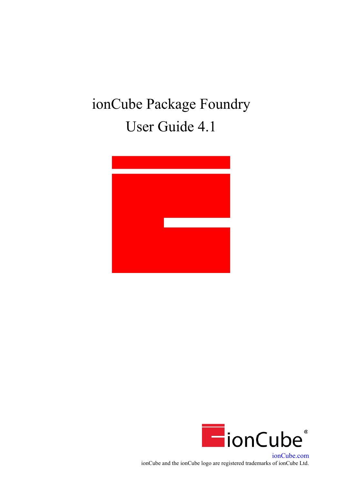# ionCube Package Foundry User Guide 4.1





[ionCube.com](http://ioncube.com/) ionCube and the ionCube logo are registered trademarks of ionCube Ltd.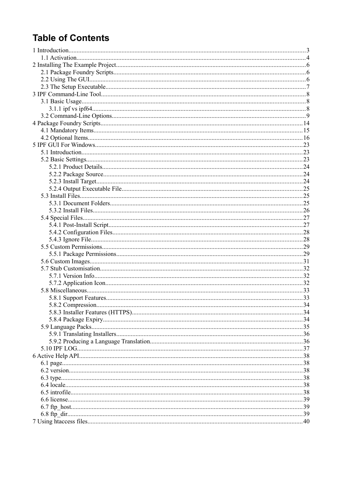## **Table of Contents**

<span id="page-1-9"></span><span id="page-1-8"></span><span id="page-1-7"></span><span id="page-1-6"></span><span id="page-1-5"></span><span id="page-1-4"></span><span id="page-1-3"></span><span id="page-1-2"></span><span id="page-1-1"></span><span id="page-1-0"></span>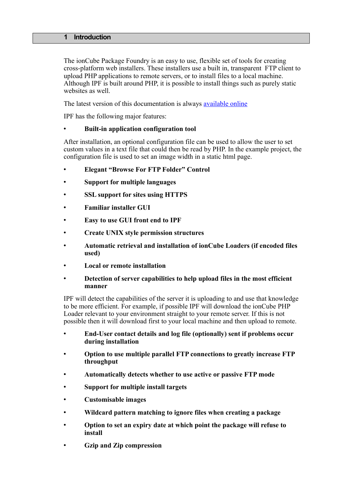#### <span id="page-2-0"></span>**1 Introduction**

The ionCube Package Foundry is an easy to use, flexible set of tools for creating cross-platform web installers. These installers use a built in, transparent FTP client to upload PHP applications to remote servers, or to install files to a local machine. Although IPF is built around PHP, it is possible to install things such as purely static websites as well.

The latest version of this documentation is always [available online](http://www.ioncube.com/ipf/docs/)

IPF has the following major features:

#### • **Built-in application configuration tool**

After installation, an optional configuration file can be used to allow the user to set custom values in a text file that could then be read by PHP. In the example project, the configuration file is used to set an image width in a static html page.

- **Elegant "Browse For FTP Folder" Control**
- **Support for multiple languages**
- **SSL support for sites using HTTPS**
- **Familiar installer GUI**
- **Easy to use GUI front end to IPF**
- **Create UNIX style permission structures**
- **Automatic retrieval and installation of ionCube Loaders (if encoded files used)**
- **Local or remote installation**

#### • **Detection of server capabilities to help upload files in the most efficient manner**

IPF will detect the capabilities of the server it is uploading to and use that knowledge to be more efficient. For example, if possible IPF will download the ionCube PHP Loader relevant to your environment straight to your remote server. If this is not possible then it will download first to your local machine and then upload to remote.

- **End-User contact details and log file (optionally) sent if problems occur during installation**
- **Option to use multiple parallel FTP connections to greatly increase FTP throughput**
- **Automatically detects whether to use active or passive FTP mode**
- **Support for multiple install targets**
- **Customisable images**
- **Wildcard pattern matching to ignore files when creating a package**
- **Option to set an expiry date at which point the package will refuse to install**
- **Gzip and Zip compression**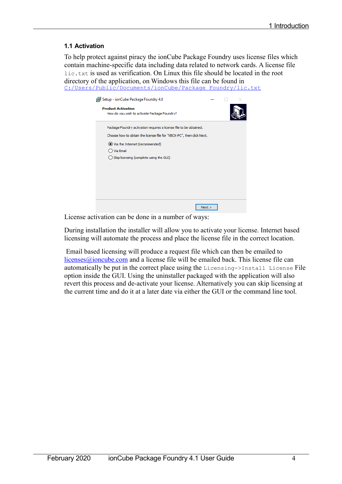## **1.1 Activation**

To help protect against piracy the ionCube Package Foundry uses license files which contain machine-specific data including data related to network cards. A license file lic.txt is used as verification. On Linux this file should be located in the root directory of the application, on Windows this file can be found in [C:/Users/Public/Documents/ionCube/Package Foundry/lic.txt](file:///C:/Users/Public/Documents/ionCube/Package%20Foundry/lic.txt)



License activation can be done in a number of ways:

During installation the installer will allow you to activate your license. Internet based licensing will automate the process and place the license file in the correct location.

 Email based licensing will produce a request file which can then be emailed to [licenses@ioncube.com](mailto:licenses@ioncube.com) and a license file will be emailed back. This license file can automatically be put in the correct place using the Licensing->Install License File option inside the GUI. Using the uninstaller packaged with the application will also revert this process and de-activate your license. Alternatively you can skip licensing at the current time and do it at a later date via either the GUI or the command line tool.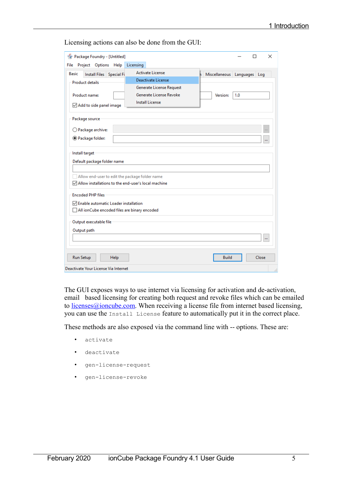| The Package Foundry - [Untitled]<br>$\times$<br>П<br>Project Options Help Licensing<br>File<br>Activate License<br><b>Basic</b><br>Install Files Special Fi<br>Miscellaneous Languages Log<br>Deactivate License<br><b>Product details</b><br>Generate License Request<br>Generate License Revoke<br>1.0<br>Product name:<br>Version:<br><b>Install License</b><br>Add to side panel image<br>Package source<br>◯ Package archive:<br>Rackage folder:<br>$\cdots$<br>Install target<br>Default package folder name<br>Allow end-user to edit the package folder name<br>$\boxdot$ Allow installations to the end-user's local machine<br><b>Encoded PHP files</b><br><b>○</b> Enable automatic Loader installation<br>All ionCube encoded files are binary encoded<br>Output executable file<br>Output path<br><br><b>Close</b><br>Run Setup<br><b>Build</b><br>Help |  |    |
|----------------------------------------------------------------------------------------------------------------------------------------------------------------------------------------------------------------------------------------------------------------------------------------------------------------------------------------------------------------------------------------------------------------------------------------------------------------------------------------------------------------------------------------------------------------------------------------------------------------------------------------------------------------------------------------------------------------------------------------------------------------------------------------------------------------------------------------------------------------------|--|----|
|                                                                                                                                                                                                                                                                                                                                                                                                                                                                                                                                                                                                                                                                                                                                                                                                                                                                      |  |    |
|                                                                                                                                                                                                                                                                                                                                                                                                                                                                                                                                                                                                                                                                                                                                                                                                                                                                      |  |    |
|                                                                                                                                                                                                                                                                                                                                                                                                                                                                                                                                                                                                                                                                                                                                                                                                                                                                      |  |    |
|                                                                                                                                                                                                                                                                                                                                                                                                                                                                                                                                                                                                                                                                                                                                                                                                                                                                      |  |    |
|                                                                                                                                                                                                                                                                                                                                                                                                                                                                                                                                                                                                                                                                                                                                                                                                                                                                      |  |    |
|                                                                                                                                                                                                                                                                                                                                                                                                                                                                                                                                                                                                                                                                                                                                                                                                                                                                      |  |    |
|                                                                                                                                                                                                                                                                                                                                                                                                                                                                                                                                                                                                                                                                                                                                                                                                                                                                      |  |    |
|                                                                                                                                                                                                                                                                                                                                                                                                                                                                                                                                                                                                                                                                                                                                                                                                                                                                      |  |    |
|                                                                                                                                                                                                                                                                                                                                                                                                                                                                                                                                                                                                                                                                                                                                                                                                                                                                      |  |    |
|                                                                                                                                                                                                                                                                                                                                                                                                                                                                                                                                                                                                                                                                                                                                                                                                                                                                      |  |    |
|                                                                                                                                                                                                                                                                                                                                                                                                                                                                                                                                                                                                                                                                                                                                                                                                                                                                      |  |    |
|                                                                                                                                                                                                                                                                                                                                                                                                                                                                                                                                                                                                                                                                                                                                                                                                                                                                      |  |    |
|                                                                                                                                                                                                                                                                                                                                                                                                                                                                                                                                                                                                                                                                                                                                                                                                                                                                      |  |    |
|                                                                                                                                                                                                                                                                                                                                                                                                                                                                                                                                                                                                                                                                                                                                                                                                                                                                      |  |    |
|                                                                                                                                                                                                                                                                                                                                                                                                                                                                                                                                                                                                                                                                                                                                                                                                                                                                      |  |    |
|                                                                                                                                                                                                                                                                                                                                                                                                                                                                                                                                                                                                                                                                                                                                                                                                                                                                      |  |    |
|                                                                                                                                                                                                                                                                                                                                                                                                                                                                                                                                                                                                                                                                                                                                                                                                                                                                      |  |    |
|                                                                                                                                                                                                                                                                                                                                                                                                                                                                                                                                                                                                                                                                                                                                                                                                                                                                      |  |    |
| Deactivate Your License Via Internet                                                                                                                                                                                                                                                                                                                                                                                                                                                                                                                                                                                                                                                                                                                                                                                                                                 |  | .i |

Licensing actions can also be done from the GUI:

The GUI exposes ways to use internet via licensing for activation and de-activation, email based licensing for creating both request and revoke files which can be emailed to licenses $@$ ioncube.com. When receiving a license file from internet based licensing, you can use the Install License feature to automatically put it in the correct place.

These methods are also exposed via the command line with -- options. These are:

- activate
- deactivate
- gen-license-request
- gen-license-revoke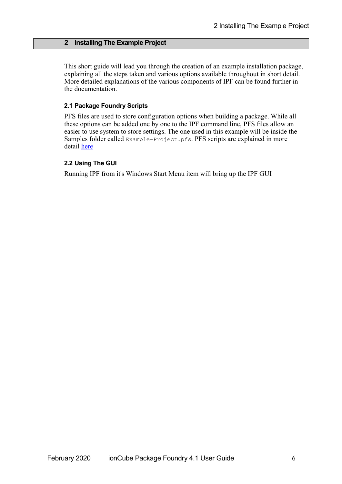## **2 Installing The Example Project**

This short guide will lead you through the creation of an example installation package, explaining all the steps taken and various options available throughout in short detail. More detailed explanations of the various components of IPF can be found further in the documentation.

## <span id="page-5-1"></span>**2.1 Package Foundry Scripts**

PFS files are used to store configuration options when building a package. While all these options can be added one by one to the IPF command line, PFS files allow an easier to use system to store settings. The one used in this example will be inside the Samples folder called Example-Project.pfs. PFS scripts are explained in more detail [here](#page-5-1)

## <span id="page-5-0"></span>**2.2 Using The GUI**

Running IPF from it's Windows Start Menu item will bring up the IPF GUI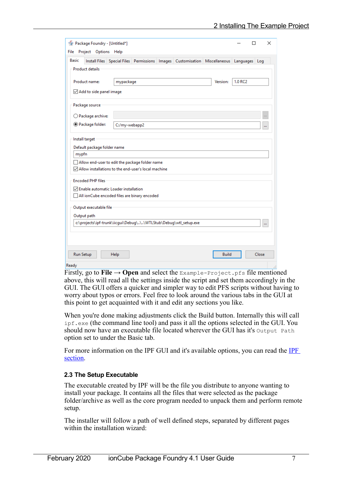| Tar Package Foundry - [Untitled*]                                                                 |              | П       | ×     |
|---------------------------------------------------------------------------------------------------|--------------|---------|-------|
| Project Options Help<br>File                                                                      |              |         |       |
| Basic<br>Install Files Special Files Permissions Images Customisation Miscellaneous Languages Log |              |         |       |
| <b>Product details</b>                                                                            |              |         |       |
| Product name:                                                                                     | Version:     | 1.0 RC2 |       |
| mypackage                                                                                         |              |         |       |
| Add to side panel image                                                                           |              |         |       |
| Package source                                                                                    |              |         |       |
|                                                                                                   |              |         |       |
| ◯ Package archive:                                                                                |              |         |       |
| Rackage folder:<br>C:/my-webapp2                                                                  |              |         | m     |
| Install target                                                                                    |              |         |       |
| Default package folder name                                                                       |              |         |       |
| mypfn                                                                                             |              |         |       |
| Allow end-user to edit the package folder name                                                    |              |         |       |
| $\boxdot$ Allow installations to the end-user's local machine                                     |              |         |       |
| <b>Encoded PHP files</b>                                                                          |              |         |       |
| $\boxdot$ Enable automatic Loader installation                                                    |              |         |       |
| All ionCube encoded files are binary encoded                                                      |              |         |       |
|                                                                                                   |              |         |       |
| Output executable file                                                                            |              |         |       |
| Output path                                                                                       |              |         |       |
| c:\projects\ipf-trunk\iicgui\Debug\\\WTLStub\Debug\wtl_setup.exe                                  |              |         | ш     |
|                                                                                                   |              |         |       |
|                                                                                                   |              |         |       |
| Run Setup<br>Help                                                                                 | <b>Build</b> |         | Close |
|                                                                                                   |              |         |       |
| Ready                                                                                             |              |         |       |

Firstly, go to **File**  $\rightarrow$  **Open** and select the Example-Project.pfs file mentioned above, this will read all the settings inside the script and set them accordingly in the GUI. The GUI offers a quicker and simpler way to edit PFS scripts without having to worry about typos or errors. Feel free to look around the various tabs in the GUI at this point to get acquainted with it and edit any sections you like.

When you're done making adjustments click the Build button. Internally this will call ipf.exe (the command line tool) and pass it all the options selected in the GUI. You should now have an executable file located wherever the GUI has it's Output Path option set to under the Basic tab.

For more information on the [IPF](#page-23-2) GUI and it's available options, you can read the **IPF** [section.](#page-23-2)

#### <span id="page-6-0"></span>**2.3 The Setup Executable**

The executable created by IPF will be the file you distribute to anyone wanting to install your package. It contains all the files that were selected as the package folder/archive as well as the core program needed to unpack them and perform remote setup.

The installer will follow a path of well defined steps, separated by different pages within the installation wizard: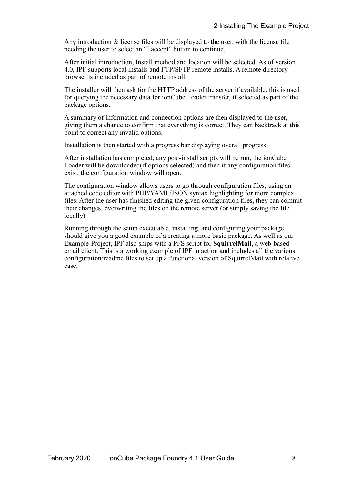Any introduction & license files will be displayed to the user, with the license file needing the user to select an "I accept" button to continue.

After initial introduction, Install method and location will be selected. As of version 4.0, IPF supports local installs and FTP/SFTP remote installs. A remote directory browser is included as part of remote install.

The installer will then ask for the HTTP address of the server if available, this is used for querying the necessary data for ionCube Loader transfer, if selected as part of the package options.

A summary of information and connection options are then displayed to the user, giving them a chance to confirm that everything is correct. They can backtrack at this point to correct any invalid options.

Installation is then started with a progress bar displaying overall progress.

After installation has completed, any post-install scripts will be run, the ionCube Loader will be downloaded(if options selected) and then if any configuration files exist, the configuration window will open.

The configuration window allows users to go through configuration files, using an attached code editor with PHP/YAML/JSON syntax highlighting for more complex files. After the user has finished editing the given configuration files, they can commit their changes, overwriting the files on the remote server (or simply saving the file locally).

Running through the setup executable, installing, and configuring your package should give you a good example of a creating a more basic package. As well as our Example-Project, IPF also ships with a PFS script for **SquirrelMail**, a web-based email client. This is a working example of IPF in action and includes all the various configuration/readme files to set up a functional version of SquirrelMail with relative ease.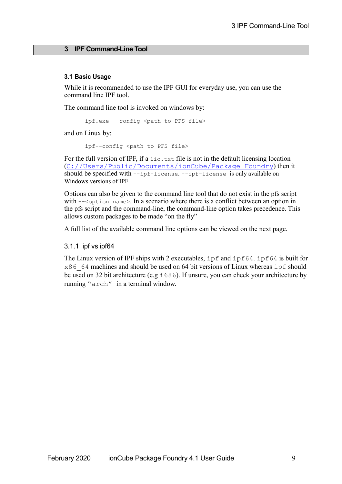## <span id="page-8-1"></span>**3 IPF Command-Line Tool**

## <span id="page-8-0"></span>**3.1 Basic Usage**

While it is recommended to use the IPF GUI for everyday use, you can use the command line IPF tool.

The command line tool is invoked on windows by:

```
ipf.exe --config <path to PFS file>
```
and on Linux by:

```
ipf--config <path to PFS file>
```
For the full version of IPF, if a  $\text{lic.txt}$  file is not in the default licensing location ([C://Users/Public/Documents/ionCube/Package Foundry](file:///C:/projects/ipf-issue-3302/DocsNew/Part-2.odt/C://Users/Public/Documents/ionCube/Package%20Foundry)) then it should be specified with --ipf-license. --ipf-license is only available on Windows versions of IPF

Options can also be given to the command line tool that do not exist in the pfs script with  $\sim$ - $\circ$ ption name>. In a scenario where there is a conflict between an option in the pfs script and the command-line, the command-line option takes precedence. This allows custom packages to be made "on the fly"

A full list of the available command line options can be viewed on the next page.

## 3.1.1 ipf vs ipf64

The Linux version of IPF ships with 2 executables, ipf and ipf64. ipf64 is built for x86 64 machines and should be used on 64 bit versions of Linux whereas ipf should be used on 32 bit architecture (e.g i686). If unsure, you can check your architecture by running "arch" in a terminal window.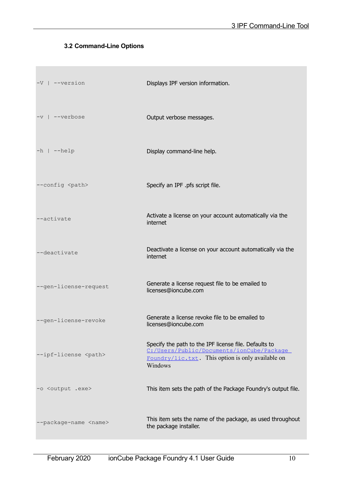## <span id="page-9-0"></span>**3.2 Command-Line Options**

| $-V$   $-version$            | Displays IPF version information.                                                                                                                                  |
|------------------------------|--------------------------------------------------------------------------------------------------------------------------------------------------------------------|
| -v   --verbose               | Output verbose messages.                                                                                                                                           |
| $-h$   $-help$               | Display command-line help.                                                                                                                                         |
| --config <path></path>       | Specify an IPF .pfs script file.                                                                                                                                   |
| --activate                   | Activate a license on your account automatically via the<br>internet                                                                                               |
| --deactivate                 | Deactivate a license on your account automatically via the<br>internet                                                                                             |
| --gen-license-request        | Generate a license request file to be emailed to<br>licenses@ioncube.com                                                                                           |
| --gen-license-revoke         | Generate a license revoke file to be emailed to<br>licenses@ioncube.com                                                                                            |
| --ipf-license <path></path>  | Specify the path to the IPF license file. Defaults to<br>C:/Users/Public/Documents/ionCube/Package<br>Foundry/lic.txt. This option is only available on<br>Windows |
| -o <output .exe=""></output> | This item sets the path of the Package Foundry's output file.                                                                                                      |
| --package-name <name></name> | This item sets the name of the package, as used throughout<br>the package installer.                                                                               |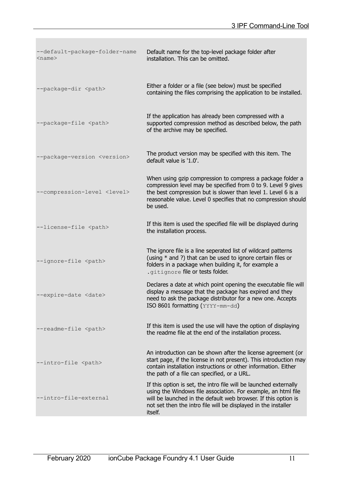| --default-package-folder-name<br>$<$ name $>$ | Default name for the top-level package folder after<br>installation. This can be omitted.                                                                                                                                                                                         |
|-----------------------------------------------|-----------------------------------------------------------------------------------------------------------------------------------------------------------------------------------------------------------------------------------------------------------------------------------|
| --package-dir <path></path>                   | Either a folder or a file (see below) must be specified<br>containing the files comprising the application to be installed.                                                                                                                                                       |
| --package-file <path></path>                  | If the application has already been compressed with a<br>supported compression method as described below, the path<br>of the archive may be specified.                                                                                                                            |
| --package-version <version></version>         | The product version may be specified with this item. The<br>default value is '1.0'.                                                                                                                                                                                               |
| --compression-level <level></level>           | When using gzip compression to compress a package folder a<br>compression level may be specified from 0 to 9. Level 9 gives<br>the best compression but is slower than level 1. Level 6 is a<br>reasonable value. Level 0 specifies that no compression should<br>be used.        |
| --license-file <path></path>                  | If this item is used the specified file will be displayed during<br>the installation process.                                                                                                                                                                                     |
| --ignore-file <path></path>                   | The ignore file is a line seperated list of wildcard patterns<br>(using $*$ and ?) that can be used to ignore certain files or<br>folders in a package when building it, for example a<br>.gitignore file or tests folder.                                                        |
| --expire-date <date></date>                   | Declares a date at which point opening the executable file will<br>display a message that the package has expired and they<br>need to ask the package distributor for a new one. Accepts<br>ISO 8601 formatting $(YYYY-mm-dd)$                                                    |
| --readme-file <path></path>                   | If this item is used the use will have the option of displaying<br>the readme file at the end of the installation process.                                                                                                                                                        |
| --intro-file <path></path>                    | An introduction can be shown after the license agreement (or<br>start page, if the license in not present). This introduction may<br>contain installation instructions or other information. Either<br>the path of a file can specified, or a URL.                                |
| --intro-file-external                         | If this option is set, the intro file will be launched externally<br>using the Windows file association. For example, an html file<br>will be launched in the default web browser. If this option is<br>not set then the intro file will be displayed in the installer<br>itself. |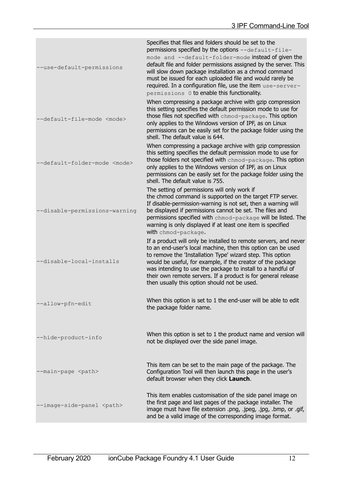| --use-default-permissions           | Specifies that files and folders should be set to the<br>permissions specified by the options --default-file-<br>mode and --default-folder-mode instead of given the<br>default file and folder permissions assigned by the server. This<br>will slow down package installation as a chmod command<br>must be issued for each uploaded file and would rarely be<br>required. In a configuration file, use the item use-server-<br>permissions 0 to enable this functionality. |
|-------------------------------------|-------------------------------------------------------------------------------------------------------------------------------------------------------------------------------------------------------------------------------------------------------------------------------------------------------------------------------------------------------------------------------------------------------------------------------------------------------------------------------|
| --default-file-mode <mode></mode>   | When compressing a package archive with gzip compression<br>this setting specifies the default permission mode to use for<br>those files not specified with chmod-package. This option<br>only applies to the Windows version of IPF, as on Linux<br>permissions can be easily set for the package folder using the<br>shell. The default value is 644.                                                                                                                       |
| --default-folder-mode <mode></mode> | When compressing a package archive with gzip compression<br>this setting specifies the default permission mode to use for<br>those folders not specified with chmod-package. This option<br>only applies to the Windows version of IPF, as on Linux<br>permissions can be easily set for the package folder using the<br>shell. The default value is 755.                                                                                                                     |
| --disable-permissions-warning       | The setting of permissions will only work if<br>the chmod command is supported on the target FTP server.<br>If disable-permission-warning is not set, then a warning will<br>be displayed if permissions cannot be set. The files and<br>permissions specified with chmod-package will be listed. The<br>warning is only displayed if at least one item is specified<br>with chmod-package.                                                                                   |
| --disable-local-installs            | If a product will only be installed to remote servers, and never<br>to an end-user's local machine, then this option can be used<br>to remove the 'Installation Type' wizard step. This option<br>would be useful, for example, if the creator of the package<br>was intending to use the package to install to a handful of<br>their own remote servers. If a product is for general release<br>then usually this option should not be used.                                 |
| --allow-pfn-edit                    | When this option is set to 1 the end-user will be able to edit<br>the package folder name.                                                                                                                                                                                                                                                                                                                                                                                    |
| --hide-product-info                 | When this option is set to 1 the product name and version will<br>not be displayed over the side panel image.                                                                                                                                                                                                                                                                                                                                                                 |
| --main-page <path></path>           | This item can be set to the main page of the package. The<br>Configuration Tool will then launch this page in the user's<br>default browser when they click Launch.                                                                                                                                                                                                                                                                                                           |
| --image-side-panel <path></path>    | This item enables customisation of the side panel image on<br>the first page and last pages of the package installer. The<br>image must have file extension .png, .jpeg, .jpg, .bmp, or .gif,<br>and be a valid image of the corresponding image format.                                                                                                                                                                                                                      |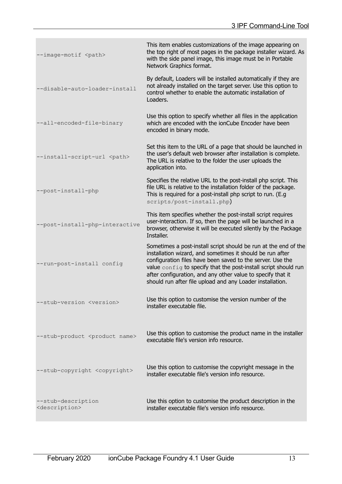| --image-motif <path></path>                       | This item enables customizations of the image appearing on<br>the top right of most pages in the package installer wizard. As<br>with the side panel image, this image must be in Portable<br>Network Graphics format.                                                                                                                                                                    |
|---------------------------------------------------|-------------------------------------------------------------------------------------------------------------------------------------------------------------------------------------------------------------------------------------------------------------------------------------------------------------------------------------------------------------------------------------------|
| --disable-auto-loader-install                     | By default, Loaders will be installed automatically if they are<br>not already installed on the target server. Use this option to<br>control whether to enable the automatic installation of<br>Loaders.                                                                                                                                                                                  |
| --all-encoded-file-binary                         | Use this option to specify whether all files in the application<br>which are encoded with the ionCube Encoder have been<br>encoded in binary mode.                                                                                                                                                                                                                                        |
| --install-script-url <path></path>                | Set this item to the URL of a page that should be launched in<br>the user's default web browser after installation is complete.<br>The URL is relative to the folder the user uploads the<br>application into.                                                                                                                                                                            |
| --post-install-php                                | Specifies the relative URL to the post-install php script. This<br>file URL is relative to the installation folder of the package.<br>This is required for a post-install php script to run. (E.g.<br>scripts/post-install.php)                                                                                                                                                           |
| --post-install-php-interactive                    | This item specifies whether the post-install script requires<br>user-interaction. If so, then the page will be launched in a<br>browser, otherwise it will be executed silently by the Package<br>Installer.                                                                                                                                                                              |
| --run-post-install config                         | Sometimes a post-install script should be run at the end of the<br>installation wizard, and sometimes it should be run after<br>configuration files have been saved to the server. Use the<br>value config to specify that the post-install script should run<br>after configuration, and any other value to specify that it<br>should run after file upload and any Loader installation. |
| --stub-version <version></version>                | Use this option to customise the version number of the<br>installer executable file.                                                                                                                                                                                                                                                                                                      |
| --stub-product <product name=""></product>        | Use this option to customise the product name in the installer<br>executable file's version info resource.                                                                                                                                                                                                                                                                                |
| --stub-copyright <copyright></copyright>          | Use this option to customise the copyright message in the<br>installer executable file's version info resource.                                                                                                                                                                                                                                                                           |
| --stub-description<br><description></description> | Use this option to customise the product description in the<br>installer executable file's version info resource.                                                                                                                                                                                                                                                                         |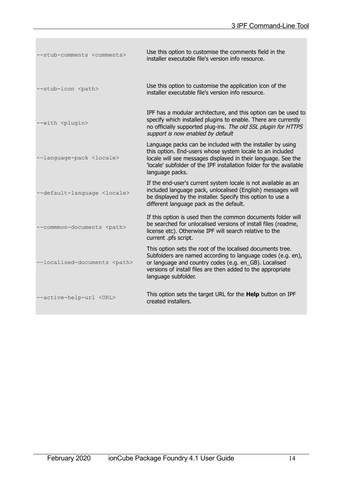| --stub-comments <comments></comments> | Use this option to customise the comments field in the<br>installer executable file's version info resource.                                                                                                                                                                       |
|---------------------------------------|------------------------------------------------------------------------------------------------------------------------------------------------------------------------------------------------------------------------------------------------------------------------------------|
| --stub-icon <path></path>             | Use this option to customise the application icon of the<br>installer executable file's version info resource.                                                                                                                                                                     |
| --with <plugin></plugin>              | IPF has a modular architecture, and this option can be used to<br>specify which installed plugins to enable. There are currently<br>no officially supported plug-ins. The old SSL plugin for HTTPS<br>support is now enabled by default                                            |
| --language-pack <locale></locale>     | Language packs can be included with the installer by using<br>this option. End-users whose system locale to an included<br>locale will see messages displayed in their language. See the<br>'locale' subfolder of the IPF installation folder for the available<br>language packs. |
| --default-language <locale></locale>  | If the end-user's current system locale is not available as an<br>included language pack, unlocalised (English) messages will<br>be displayed by the installer. Specify this option to use a<br>different language pack as the default.                                            |
| --commmon-documents <path></path>     | If this option is used then the common documents folder will<br>be searched for unlocalised versions of install files (readme,<br>license etc). Otherwise IPF will search relative to the<br>current .pfs script.                                                                  |
| --localised-documents <path></path>   | This option sets the root of the localised documents tree.<br>Subfolders are named according to language codes (e.g. en),<br>or language and country codes (e.g. en_GB). Localised<br>versions of install files are then added to the appropriate<br>language subfolder.           |
| --active-help-url <url></url>         | This option sets the target URL for the <b>Help</b> button on IPF<br>created installers.                                                                                                                                                                                           |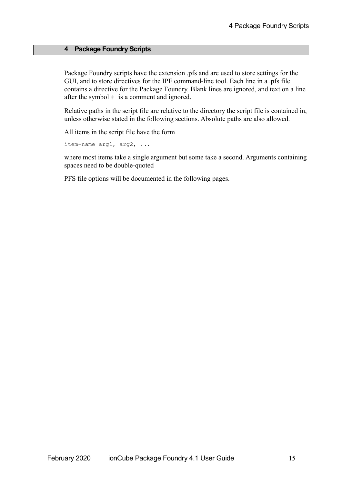## <span id="page-14-0"></span>**4 Package Foundry Scripts**

Package Foundry scripts have the extension .pfs and are used to store settings for the GUI, and to store directives for the IPF command-line tool. Each line in a .pfs file contains a directive for the Package Foundry. Blank lines are ignored, and text on a line after the symbol  $\#$  is a comment and ignored.

Relative paths in the script file are relative to the directory the script file is contained in, unless otherwise stated in the following sections. Absolute paths are also allowed.

All items in the script file have the form

item-name arg1, arg2, ...

where most items take a single argument but some take a second. Arguments containing spaces need to be double-quoted

PFS file options will be documented in the following pages.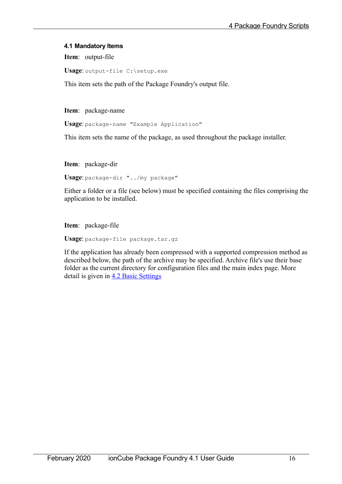## **4.1 Mandatory Items**

**Item**: output-file

**Usage**: output-file C:\setup.exe

This item sets the path of the Package Foundry's output file.

**Item**: package-name

**Usage**: package-name "Example Application"

This item sets the name of the package, as used throughout the package installer.

**Item**: package-dir

**Usage**: package-dir "../my package"

Either a folder or a file (see below) must be specified containing the files comprising the application to be installed.

**Item**: package-file

**Usage**: package-file package.tar.gz

If the application has already been compressed with a supported compression method as described below, the path of the archive may be specified. Archive file's use their base folder as the current directory for configuration files and the main index page. More detail is given in [4.2 Basic Settings](#page-24-1)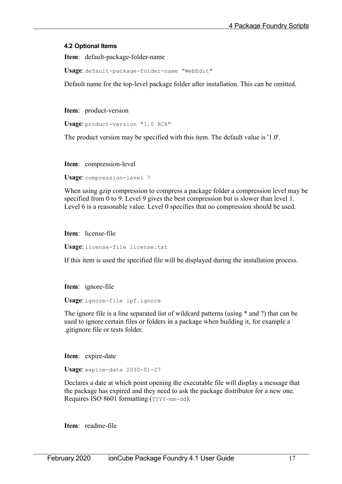#### **4.2 Optional Items**

**Item**: default-package-folder-name

**Usage**: default-package-folder-name "WebEdit"

Default name for the top-level package folder after installation. This can be omitted.

**Item**: product-version

**Usage**: product-version "1.0 RC8"

The product version may be specified with this item. The default value is '1.0'.

**Item**: compression-level

**Usage**: compression-level 7

When using gzip compression to compress a package folder a compression level may be specified from 0 to 9. Level 9 gives the best compression but is slower than level 1. Level 6 is a reasonable value. Level 0 specifies that no compression should be used.

**Item**: license-file

**Usage**: license-file license.txt

If this item is used the specified file will be displayed during the installation process.

**Item**: ignore-file

**Usage**: ignore-file ipf.ignore

The ignore file is a line separated list of wildcard patterns (using \* and ?) that can be used to ignore certain files or folders in a package when building it, for example a .gitignore file or tests folder.

**Item**: expire-date

**Usage**: expire-date 2030-01-27

Declares a date at which point opening the executable file will display a message that the package has expired and they need to ask the package distributor for a new one. Requires ISO 8601 formatting (YYYY-mm-dd).

**Item**: readme-file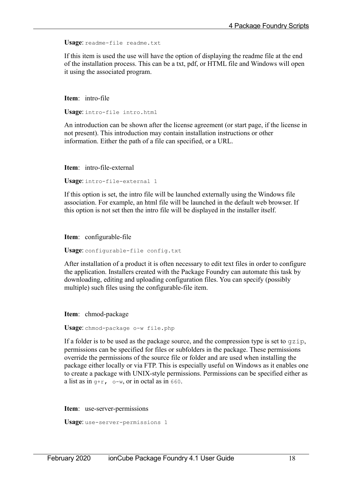**Usage**: readme-file readme.txt

If this item is used the use will have the option of displaying the readme file at the end of the installation process. This can be a txt, pdf, or HTML file and Windows will open it using the associated program.

**Item**: intro-file

**Usage**: intro-file intro.html

An introduction can be shown after the license agreement (or start page, if the license in not present). This introduction may contain installation instructions or other information. Either the path of a file can specified, or a URL.

**Item**: intro-file-external

**Usage**: intro-file-external 1

If this option is set, the intro file will be launched externally using the Windows file association. For example, an html file will be launched in the default web browser. If this option is not set then the intro file will be displayed in the installer itself.

**Item**: configurable-file

**Usage**: configurable-file config.txt

After installation of a product it is often necessary to edit text files in order to configure the application. Installers created with the Package Foundry can automate this task by downloading, editing and uploading configuration files. You can specify (possibly multiple) such files using the configurable-file item.

**Item**: chmod-package

**Usage**: chmod-package o-w file.php

If a folder is to be used as the package source, and the compression type is set to  $gzip$ , permissions can be specified for files or subfolders in the package. These permissions override the permissions of the source file or folder and are used when installing the package either locally or via FTP. This is especially useful on Windows as it enables one to create a package with UNIX-style permissions. Permissions can be specified either as a list as in  $q+r$ , o-w, or in octal as in 660.

**Item**: use-server-permissions

```
Usage: use-server-permissions 1
```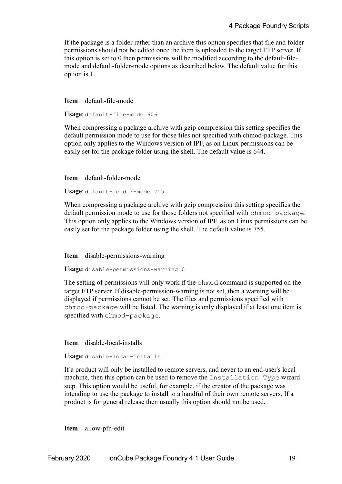If the package is a folder rather than an archive this option specifies that file and folder permissions should not be edited once the item is uploaded to the target FTP server. If this option is set to 0 then permissions will be modified according to the default-filemode and default-folder-mode options as described below. The default value for this option is 1.

**Item**: default-file-mode

**Usage**: default-file-mode 606

When compressing a package archive with gzip compression this setting specifies the default permission mode to use for those files not specified with chmod-package. This option only applies to the Windows version of IPF, as on Linux permissions can be easily set for the package folder using the shell. The default value is 644.

**Item**: default-folder-mode

**Usage**: default-folder-mode 755

When compressing a package archive with gzip compression this setting specifies the default permission mode to use for those folders not specified with chmod-package. This option only applies to the Windows version of IPF, as on Linux permissions can be easily set for the package folder using the shell. The default value is 755.

**Item**: disable-permissions-warning

**Usage**: disable-permissions-warning 0

The setting of permissions will only work if the chmod command is supported on the target FTP server. If disable-permission-warning is not set, then a warning will be displayed if permissions cannot be set. The files and permissions specified with chmod-package will be listed. The warning is only displayed if at least one item is specified with chmod-package.

**Item**: disable-local-installs

**Usage**: disable-local-installs 1

If a product will only be installed to remote servers, and never to an end-user's local machine, then this option can be used to remove the Installation Type wizard step. This option would be useful, for example, if the creator of the package was intending to use the package to install to a handful of their own remote servers. If a product is for general release then usually this option should not be used.

**Item**: allow-pfn-edit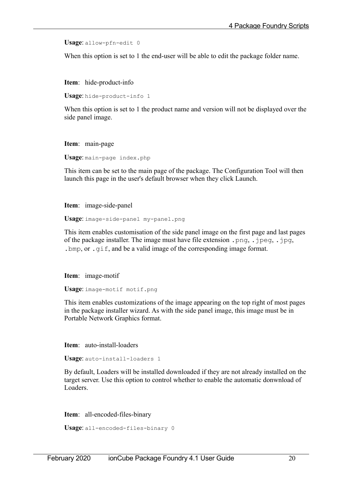**Usage**: allow-pfn-edit 0

When this option is set to 1 the end-user will be able to edit the package folder name.

**Item**: hide-product-info

**Usage**: hide-product-info 1

When this option is set to 1 the product name and version will not be displayed over the side panel image.

**Item**: main-page

**Usage**: main-page index.php

This item can be set to the main page of the package. The Configuration Tool will then launch this page in the user's default browser when they click Launch.

**Item**: image-side-panel

**Usage**: image-side-panel my-panel.png

This item enables customisation of the side panel image on the first page and last pages of the package installer. The image must have file extension .png, .jpeg, .jpg, .bmp, or .gif, and be a valid image of the corresponding image format.

**Item**: image-motif

**Usage**: image-motif motif.png

This item enables customizations of the image appearing on the top right of most pages in the package installer wizard. As with the side panel image, this image must be in Portable Network Graphics format.

**Item**: auto-install-loaders

**Usage**: auto-install-loaders 1

By default, Loaders will be installed downloaded if they are not already installed on the target server. Use this option to control whether to enable the automatic donwnload of Loaders.

**Item**: all-encoded-files-binary

```
Usage: all-encoded-files-binary 0
```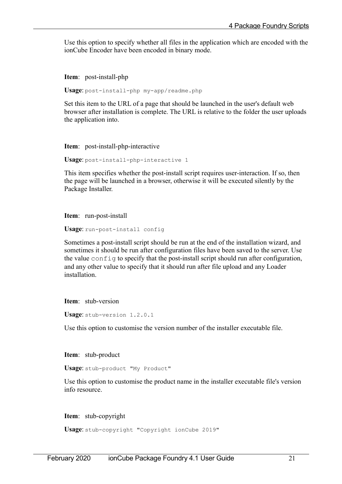Use this option to specify whether all files in the application which are encoded with the ionCube Encoder have been encoded in binary mode.

**Item**: post-install-php

**Usage**: post-install-php my-app/readme.php

Set this item to the URL of a page that should be launched in the user's default web browser after installation is complete. The URL is relative to the folder the user uploads the application into.

**Item**: post-install-php-interactive

**Usage**: post-install-php-interactive 1

This item specifies whether the post-install script requires user-interaction. If so, then the page will be launched in a browser, otherwise it will be executed silently by the Package Installer.

**Item**: run-post-install

**Usage**: run-post-install config

Sometimes a post-install script should be run at the end of the installation wizard, and sometimes it should be run after configuration files have been saved to the server. Use the value config to specify that the post-install script should run after configuration, and any other value to specify that it should run after file upload and any Loader installation.

**Item**: stub-version

**Usage**: stub-version 1.2.0.1

Use this option to customise the version number of the installer executable file.

**Item**: stub-product

**Usage**: stub-product "My Product"

Use this option to customise the product name in the installer executable file's version info resource.

**Item**: stub-copyright

**Usage**: stub-copyright "Copyright ionCube 2019"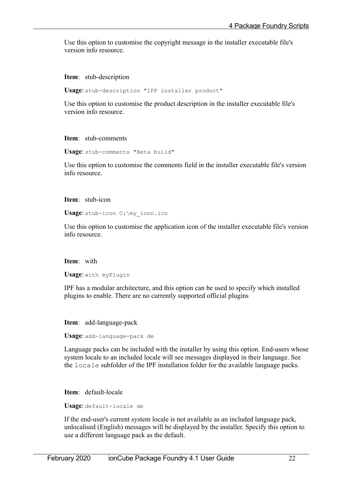Use this option to customise the copyright message in the installer executable file's version info resource.

**Item**: stub-description

**Usage**: stub-description "IPF installer product"

Use this option to customise the product description in the installer executable file's version info resource.

#### **Item**: stub-comments

**Usage**: stub-comments "Beta build"

Use this option to customise the comments field in the installer executable file's version info resource.

#### **Item**: stub-icon

**Usage**: stub-icon C:\my\_icon.ico

Use this option to customise the application icon of the installer executable file's version info resource.

#### **Item**: with

**Usage**: with myPlugin

IPF has a modular architecture, and this option can be used to specify which installed plugins to enable. There are no currently supported official plugins

**Item**: add-language-pack

**Usage**: add-language-pack de

Language packs can be included with the installer by using this option. End-users whose system locale to an included locale will see messages displayed in their language. See the locale subfolder of the IPF installation folder for the available language packs.

**Item**: default-locale

**Usage**: default-locale de

If the end-user's current system locale is not available as an included language pack, unlocalised (English) messages will be displayed by the installer. Specify this option to use a different language pack as the default.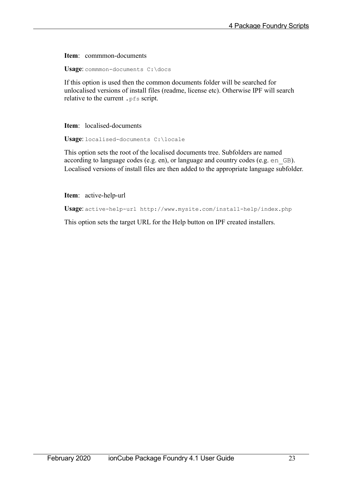**Item**: commmon-documents

**Usage**: commmon-documents C:\docs

If this option is used then the common documents folder will be searched for unlocalised versions of install files (readme, license etc). Otherwise IPF will search relative to the current . pfs script.

**Item**: localised-documents

**Usage**: localised-documents C:\locale

This option sets the root of the localised documents tree. Subfolders are named according to language codes (e.g. en), or language and country codes (e.g. en\_GB). Localised versions of install files are then added to the appropriate language subfolder.

**Item**: active-help-url

**Usage**: active-help-url http://www.mysite.com/install-help/index.php

This option sets the target URL for the Help button on IPF created installers.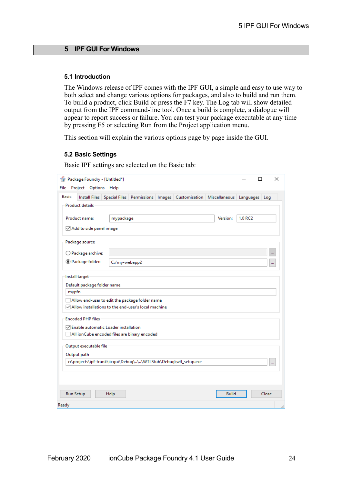## <span id="page-23-2"></span>**5 IPF GUI For Windows**

#### <span id="page-23-1"></span>**5.1 Introduction**

The Windows release of IPF comes with the IPF GUI, a simple and easy to use way to both select and change various options for packages, and also to build and run them. To build a product, click Build or press the F7 key. The Log tab will show detailed output from the IPF command-line tool. Once a build is complete, a dialogue will appear to report success or failure. You can test your package executable at any time by pressing F5 or selecting Run from the Project application menu.

This section will explain the various options page by page inside the GUI.

#### <span id="page-23-0"></span>**5.2 Basic Settings**

Basic IPF settings are selected on the Basic tab:

| Package Foundry - [Untitled*]<br>Project Options Help<br>File |                                                                                          | ×<br>п                |
|---------------------------------------------------------------|------------------------------------------------------------------------------------------|-----------------------|
| <b>Basic</b>                                                  | Install Files Special Files Permissions Images Customisation Miscellaneous Languages Log |                       |
| <b>Product details</b>                                        |                                                                                          |                       |
|                                                               |                                                                                          |                       |
| Product name:<br>mypackage                                    |                                                                                          | 1.0 RC2<br>Version:   |
| Add to side panel image                                       |                                                                                          |                       |
| Package source                                                |                                                                                          |                       |
| ◯ Package archive:                                            |                                                                                          | i.                    |
| Rackage folder:<br>C:/my-webapp2                              |                                                                                          |                       |
|                                                               |                                                                                          | m                     |
| Install target                                                |                                                                                          |                       |
| Default package folder name                                   |                                                                                          |                       |
| mypfn                                                         |                                                                                          |                       |
| Allow end-user to edit the package folder name                |                                                                                          |                       |
| $\boxdot$ Allow installations to the end-user's local machine |                                                                                          |                       |
| <b>Encoded PHP files</b>                                      |                                                                                          |                       |
| $\sqrt{\phantom{a}}$ Enable automatic Loader installation     |                                                                                          |                       |
| All ionCube encoded files are binary encoded                  |                                                                                          |                       |
| Output executable file                                        |                                                                                          |                       |
| Output path                                                   |                                                                                          |                       |
|                                                               | c:\projects\ipf-trunk\iicgui\Debug\\\WTLStub\Debug\wtl_setup.exe                         | $\cdots$              |
|                                                               |                                                                                          |                       |
|                                                               |                                                                                          |                       |
| <b>Run Setup</b><br>Help                                      |                                                                                          | <b>Build</b><br>Close |
| Ready                                                         |                                                                                          |                       |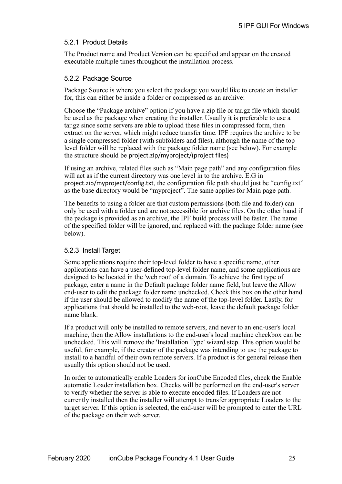## <span id="page-24-2"></span>5.2.1 Product Details

The Product name and Product Version can be specified and appear on the created executable multiple times throughout the installation process.

## <span id="page-24-1"></span>5.2.2 Package Source

Package Source is where you select the package you would like to create an installer for, this can either be inside a folder or compressed as an archive:

Choose the "Package archive" option if you have a zip file or tar.gz file which should be used as the package when creating the installer. Usually it is preferable to use a tar.gz since some servers are able to upload these files in compressed form, then extract on the server, which might reduce transfer time. IPF requires the archive to be a single compressed folder (with subfolders and files), although the name of the top level folder will be replaced with the package folder name (see below). For example the structure should be project.zip/myproject/(project files)

If using an archive, related files such as "Main page path" and any configuration files will act as if the current directory was one level in to the archive. E.G in project.zip/myproject/config.txt, the configuration file path should just be "config.txt" as the base directory would be "myproject". The same applies for Main page path.

The benefits to using a folder are that custom permissions (both file and folder) can only be used with a folder and are not accessible for archive files. On the other hand if the package is provided as an archive, the IPF build process will be faster. The name of the specified folder will be ignored, and replaced with the package folder name (see below).

## <span id="page-24-0"></span>5.2.3 Install Target

Some applications require their top-level folder to have a specific name, other applications can have a user-defined top-level folder name, and some applications are designed to be located in the 'web root' of a domain. To achieve the first type of package, enter a name in the Default package folder name field, but leave the Allow end-user to edit the package folder name unchecked. Check this box on the other hand if the user should be allowed to modify the name of the top-level folder. Lastly, for applications that should be installed to the web-root, leave the default package folder name blank.

If a product will only be installed to remote servers, and never to an end-user's local machine, then the Allow installations to the end-user's local machine checkbox can be unchecked. This will remove the 'Installation Type' wizard step. This option would be useful, for example, if the creator of the package was intending to use the package to install to a handful of their own remote servers. If a product is for general release then usually this option should not be used.

In order to automatically enable Loaders for ionCube Encoded files, check the Enable automatic Loader installation box. Checks will be performed on the end-user's server to verify whether the server is able to execute encoded files. If Loaders are not currently installed then the installer will attempt to transfer appropriate Loaders to the target server. If this option is selected, the end-user will be prompted to enter the URL of the package on their web server.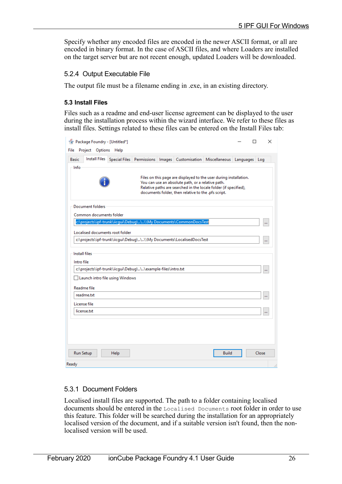Specify whether any encoded files are encoded in the newer ASCII format, or all are encoded in binary format. In the case of ASCII files, and where Loaders are installed on the target server but are not recent enough, updated Loaders will be downloaded.

## <span id="page-25-1"></span>5.2.4 Output Executable File

The output file must be a filename ending in .exe, in an existing directory.

## <span id="page-25-0"></span>**5.3 Install Files**

Files such as a readme and end-user license agreement can be displayed to the user during the installation process within the wizard interface. We refer to these files as install files. Settings related to these files can be entered on the Install Files tab:

| File  | Tar Package Foundry - [Untitled*]<br>Project Options Help |                                 |                                                              |                                                                                                                                                                                                                                                   |              | П     | × |
|-------|-----------------------------------------------------------|---------------------------------|--------------------------------------------------------------|---------------------------------------------------------------------------------------------------------------------------------------------------------------------------------------------------------------------------------------------------|--------------|-------|---|
|       | <b>Basic</b><br>Info                                      |                                 |                                                              | Install Files Special Files Permissions Images Customisation Miscellaneous Languages Log                                                                                                                                                          |              |       |   |
|       |                                                           |                                 |                                                              | Files on this page are displayed to the user during installation.<br>You can use an absolute path, or a relative path.<br>Relative paths are searched in the locale folder (if specified),<br>documents folder, then relative to the .pfs script. |              |       |   |
|       | <b>Document folders</b><br>Common documents folder        |                                 |                                                              |                                                                                                                                                                                                                                                   |              |       |   |
|       |                                                           | Localised documents root folder |                                                              | c:\projects\ipf-trunk\iicqui\Debug\\\\My Documents\CommonDocsTest                                                                                                                                                                                 |              |       | ш |
|       |                                                           |                                 |                                                              | c:\projects\ipf-trunk\iicqui\Debuq\\\\My Documents\LocalisedDocsTest                                                                                                                                                                              |              |       | ш |
|       | <b>Install files</b><br>Intro file                        |                                 |                                                              |                                                                                                                                                                                                                                                   |              |       |   |
|       |                                                           | Launch intro file using Windows | c:\projects\ipf-trunk\iicgui\Debug\\\example-files\intro.txt |                                                                                                                                                                                                                                                   |              |       | ш |
|       | Readme file<br>readme.txt                                 |                                 |                                                              |                                                                                                                                                                                                                                                   |              |       | ш |
|       | License file<br>license.txt                               |                                 |                                                              |                                                                                                                                                                                                                                                   |              |       | ш |
|       |                                                           |                                 |                                                              |                                                                                                                                                                                                                                                   |              |       |   |
|       |                                                           |                                 |                                                              |                                                                                                                                                                                                                                                   |              |       |   |
|       | Run Setup                                                 | Help                            |                                                              |                                                                                                                                                                                                                                                   | <b>Build</b> | Close |   |
| Ready |                                                           |                                 |                                                              |                                                                                                                                                                                                                                                   |              |       |   |

## 5.3.1 Document Folders

Localised install files are supported. The path to a folder containing localised documents should be entered in the Localised Documents root folder in order to use this feature. This folder will be searched during the installation for an appropriately localised version of the document, and if a suitable version isn't found, then the nonlocalised version will be used.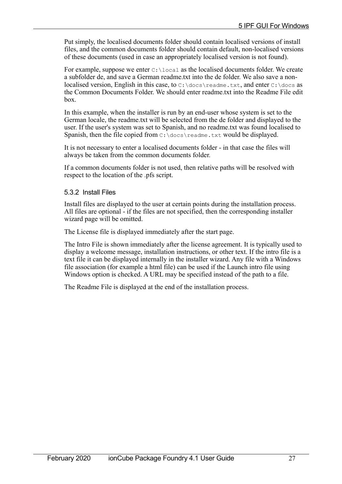Put simply, the localised documents folder should contain localised versions of install files, and the common documents folder should contain default, non-localised versions of these documents (used in case an appropriately localised version is not found).

For example, suppose we enter  $C:\Lambda_{\text{local}}$  as the localised documents folder. We create a subfolder de, and save a German readme.txt into the de folder. We also save a nonlocalised version, English in this case, to C:\docs\readme.txt, and enter C:\docs as the Common Documents Folder. We should enter readme.txt into the Readme File edit box.

In this example, when the installer is run by an end-user whose system is set to the German locale, the readme.txt will be selected from the de folder and displayed to the user. If the user's system was set to Spanish, and no readme.txt was found localised to Spanish, then the file copied from C:\docs\readme.txt would be displayed.

It is not necessary to enter a localised documents folder - in that case the files will always be taken from the common documents folder.

If a common documents folder is not used, then relative paths will be resolved with respect to the location of the .pfs script.

#### <span id="page-26-0"></span>5.3.2 Install Files

Install files are displayed to the user at certain points during the installation process. All files are optional - if the files are not specified, then the corresponding installer wizard page will be omitted.

The License file is displayed immediately after the start page.

The Intro File is shown immediately after the license agreement. It is typically used to display a welcome message, installation instructions, or other text. If the intro file is a text file it can be displayed internally in the installer wizard. Any file with a Windows file association (for example a html file) can be used if the Launch intro file using Windows option is checked. A URL may be specified instead of the path to a file.

The Readme File is displayed at the end of the installation process.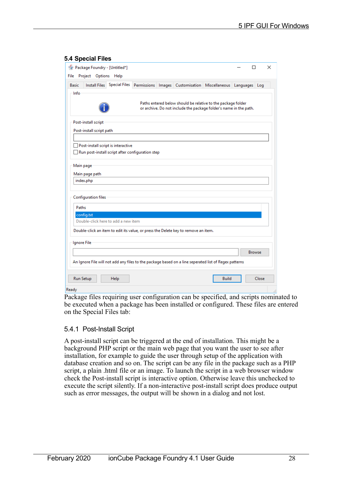|              | The Package Foundry - [Untitled*]<br>File Project Options Help |                                     |                                                                                                       |                                                                                                                                   |               |           | П             | $\times$ |
|--------------|----------------------------------------------------------------|-------------------------------------|-------------------------------------------------------------------------------------------------------|-----------------------------------------------------------------------------------------------------------------------------------|---------------|-----------|---------------|----------|
| <b>Basic</b> |                                                                | Install Files Special Files         | Permissions                                                                                           | Images Customisation                                                                                                              | Miscellaneous | Languages | Log           |          |
| Info         |                                                                |                                     |                                                                                                       |                                                                                                                                   |               |           |               |          |
|              |                                                                |                                     |                                                                                                       | Paths entered below should be relative to the package folder<br>or archive. Do not include the package folder's name in the path. |               |           |               |          |
|              | Post-install script                                            |                                     |                                                                                                       |                                                                                                                                   |               |           |               |          |
|              | Post-install script path                                       |                                     |                                                                                                       |                                                                                                                                   |               |           |               |          |
|              |                                                                |                                     |                                                                                                       |                                                                                                                                   |               |           |               |          |
|              |                                                                | Post-install script is interactive  |                                                                                                       |                                                                                                                                   |               |           |               |          |
|              |                                                                |                                     | Run post-install script after configuration step                                                      |                                                                                                                                   |               |           |               |          |
|              |                                                                |                                     |                                                                                                       |                                                                                                                                   |               |           |               |          |
| Main page    |                                                                |                                     |                                                                                                       |                                                                                                                                   |               |           |               |          |
|              | Main page path                                                 |                                     |                                                                                                       |                                                                                                                                   |               |           |               |          |
|              | index.php                                                      |                                     |                                                                                                       |                                                                                                                                   |               |           |               |          |
|              |                                                                |                                     |                                                                                                       |                                                                                                                                   |               |           |               |          |
|              |                                                                |                                     |                                                                                                       |                                                                                                                                   |               |           |               |          |
|              | <b>Configuration files</b>                                     |                                     |                                                                                                       |                                                                                                                                   |               |           |               |          |
|              |                                                                |                                     |                                                                                                       |                                                                                                                                   |               |           |               |          |
| Paths        |                                                                |                                     |                                                                                                       |                                                                                                                                   |               |           |               |          |
|              | config.txt                                                     |                                     |                                                                                                       |                                                                                                                                   |               |           |               |          |
|              |                                                                | Double-click here to add a new item |                                                                                                       |                                                                                                                                   |               |           |               |          |
|              |                                                                |                                     | Double-click an item to edit its value, or press the Delete key to remove an item.                    |                                                                                                                                   |               |           |               |          |
|              |                                                                |                                     |                                                                                                       |                                                                                                                                   |               |           |               |          |
| Ignore File  |                                                                |                                     |                                                                                                       |                                                                                                                                   |               |           |               |          |
|              |                                                                |                                     |                                                                                                       |                                                                                                                                   |               |           | <b>Browse</b> |          |
|              |                                                                |                                     | An Ignore File will not add any files to the package based on a line seperated list of Regex patterns |                                                                                                                                   |               |           |               |          |
|              |                                                                |                                     |                                                                                                       |                                                                                                                                   |               |           |               |          |
| Run Setup    |                                                                | Help                                |                                                                                                       |                                                                                                                                   | <b>Build</b>  |           | Close         |          |

#### <span id="page-27-1"></span>**5.4 Special Files**

Package files requiring user configuration can be specified, and scripts nominated to be executed when a package has been installed or configured. These files are entered on the Special Files tab:

#### <span id="page-27-0"></span>5.4.1 Post-Install Script

A post-install script can be triggered at the end of installation. This might be a background PHP script or the main web page that you want the user to see after installation, for example to guide the user through setup of the application with database creation and so on. The script can be any file in the package such as a PHP script, a plain .html file or an image. To launch the script in a web browser window check the Post-install script is interactive option. Otherwise leave this unchecked to execute the script silently. If a non-interactive post-install script does produce output such as error messages, the output will be shown in a dialog and not lost.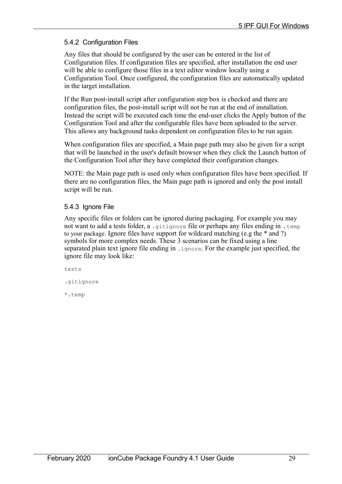## <span id="page-28-1"></span>5.4.2 Configuration Files

Any files that should be configured by the user can be entered in the list of Configuration files. If configuration files are specified, after installation the end user will be able to configure those files in a text editor window locally using a Configuration Tool. Once configured, the configuration files are automatically updated in the target installation.

If the Run post-install script after configuration step box is checked and there are configuration files, the post-install script will not be run at the end of installation. Instead the script will be executed each time the end-user clicks the Apply button of the Configuration Tool and after the configurable files have been uploaded to the server. This allows any background tasks dependent on configuration files to be run again.

When configuration files are specified, a Main page path may also be given for a script that will be launched in the user's default browser when they click the Launch button of the Configuration Tool after they have completed their configuration changes.

NOTE: the Main page path is used only when configuration files have been specified. If there are no configuration files, the Main page path is ignored and only the post install script will be run.

## <span id="page-28-0"></span>5.4.3 Ignore File

Any specific files or folders can be ignored during packaging. For example you may not want to add a tests folder, a .gitignore file or perhaps any files ending in . temp to your package. Ignore files have support for wildcard matching (e.g the \* and ?) symbols for more complex needs. These 3 scenarios can be fixed using a line separated plain text ignore file ending in .ignore. For the example just specified, the ignore file may look like:

 $t \geq t$ s

.gitignore

\*.temp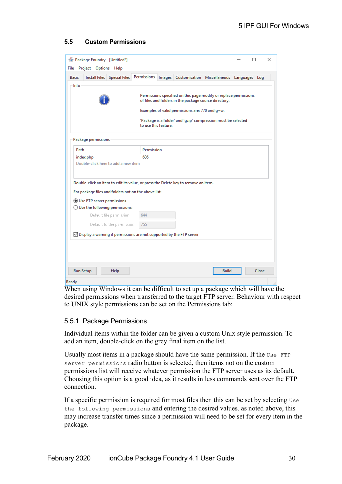## <span id="page-29-1"></span>**5.5 Custom Permissions**

| File Project Options Help<br><b>Basic</b><br>Install Files Special Files           | Permissions          | Images Customisation                                                                                                      | Miscellaneous | Languages Log |  |
|------------------------------------------------------------------------------------|----------------------|---------------------------------------------------------------------------------------------------------------------------|---------------|---------------|--|
| Info                                                                               |                      |                                                                                                                           |               |               |  |
|                                                                                    |                      | Permissions specified on this page modify or replace permissions<br>of files and folders in the package source directory. |               |               |  |
|                                                                                    |                      | Examples of valid permissions are: 770 and g+w.                                                                           |               |               |  |
|                                                                                    | to use this feature. | 'Package is a folder' and 'gzip' compression must be selected                                                             |               |               |  |
| Package permissions                                                                |                      |                                                                                                                           |               |               |  |
| Path                                                                               | Permission           |                                                                                                                           |               |               |  |
|                                                                                    |                      |                                                                                                                           |               |               |  |
| index.php<br>Double-click here to add a new item                                   | 606                  |                                                                                                                           |               |               |  |
| Double-click an item to edit its value, or press the Delete key to remove an item. |                      |                                                                                                                           |               |               |  |
| For package files and folders not on the above list:                               |                      |                                                                                                                           |               |               |  |
| Use FTP server permissions                                                         |                      |                                                                                                                           |               |               |  |
| $\bigcirc$ Use the following permissions:<br>Default file permission:              | 644                  |                                                                                                                           |               |               |  |
| Default folder permission:                                                         | 755                  |                                                                                                                           |               |               |  |
| $\sqrt{ }$ Display a warning if permissions are not supported by the FTP server    |                      |                                                                                                                           |               |               |  |
|                                                                                    |                      |                                                                                                                           |               |               |  |

When using Windows it can be difficult to set up a package which will have the desired permissions when transferred to the target FTP server. Behaviour with respect to UNIX style permissions can be set on the Permissions tab:

#### <span id="page-29-0"></span>5.5.1 Package Permissions

Individual items within the folder can be given a custom Unix style permission. To add an item, double-click on the grey final item on the list.

Usually most items in a package should have the same permission. If the Use FTP server permissions radio button is selected, then items not on the custom permissions list will receive whatever permission the FTP server uses as its default. Choosing this option is a good idea, as it results in less commands sent over the FTP connection.

If a specific permission is required for most files then this can be set by selecting Use the following permissions and entering the desired values. as noted above, this may increase transfer times since a permission will need to be set for every item in the package.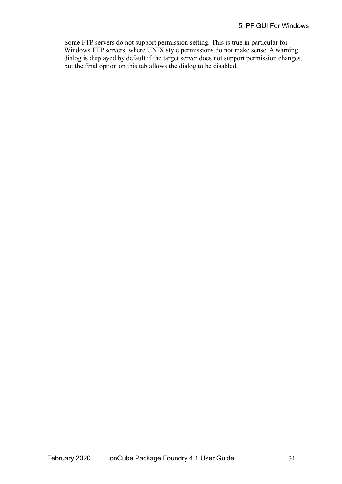Some FTP servers do not support permission setting. This is true in particular for Windows FTP servers, where UNIX style permissions do not make sense. A warning dialog is displayed by default if the target server does not support permission changes, but the final option on this tab allows the dialog to be disabled.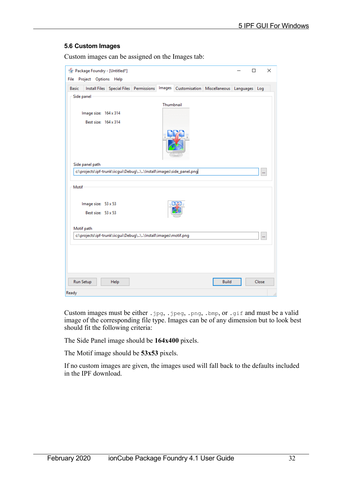#### <span id="page-31-0"></span>**5.6 Custom Images**

Package Foundry - [Untitled\*]  $\Box$  $\times$ File Project Options Help Basic Install Files Special Files Permissions Images Customisation Miscellaneous Languages Log Side panel Thumbnail Image size: 164 x 314 Best size: 164 x 314 Side panel path c:\projects\ipf-trunk\iicgui\Debug\..\..\Install\images\side\_panel.png  $\ldots$ Motif Image size: 53 x 53 Best size: 53 x 53 Motif path c:\projects\ipf-trunk\iicgui\Debug\..\..\Install\images\motif.png m, **Run Setup** Help **Build** Close Ready

Custom images can be assigned on the Images tab:

Custom images must be either .jpg, .jpeg, .png, .bmp, or .gif and must be a valid image of the corresponding file type. Images can be of any dimension but to look best should fit the following criteria:

The Side Panel image should be **164x400** pixels.

The Motif image should be **53x53** pixels.

If no custom images are given, the images used will fall back to the defaults included in the IPF download.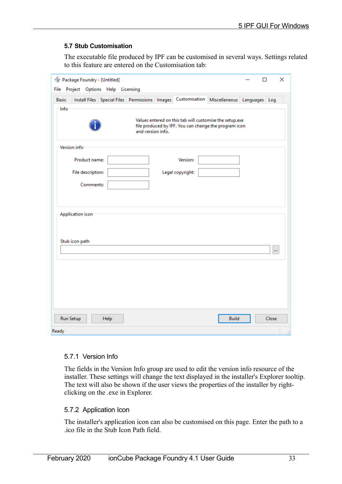## <span id="page-32-2"></span>**5.7 Stub Customisation**

The executable file produced by IPF can be customised in several ways. Settings related to this feature are entered on the Customisation tab:

| Package Foundry - [Untitled]<br>Project Options Help Licensing<br>File |                                                                      |                                                                                                                  |               |               | □        | × |
|------------------------------------------------------------------------|----------------------------------------------------------------------|------------------------------------------------------------------------------------------------------------------|---------------|---------------|----------|---|
| <b>Basic</b><br>Info                                                   | Install Files   Special Files   Permissions   Images   Customisation |                                                                                                                  | Miscellaneous | Languages Log |          |   |
|                                                                        | and version info.                                                    | Values entered on this tab will customise the setup.exe<br>file produced by IPF. You can change the program icon |               |               |          |   |
| Version info                                                           |                                                                      |                                                                                                                  |               |               |          |   |
| Product name:                                                          |                                                                      | Version:                                                                                                         |               |               |          |   |
| File description:                                                      |                                                                      | Legal copyright:                                                                                                 |               |               |          |   |
| Comments:                                                              |                                                                      |                                                                                                                  |               |               |          |   |
|                                                                        |                                                                      |                                                                                                                  |               |               |          |   |
|                                                                        |                                                                      |                                                                                                                  |               |               |          |   |
| Application icon                                                       |                                                                      |                                                                                                                  |               |               |          |   |
|                                                                        |                                                                      |                                                                                                                  |               |               |          |   |
| Stub icon path                                                         |                                                                      |                                                                                                                  |               |               |          |   |
|                                                                        |                                                                      |                                                                                                                  |               |               | $\cdots$ |   |
|                                                                        |                                                                      |                                                                                                                  |               |               |          |   |
|                                                                        |                                                                      |                                                                                                                  |               |               |          |   |
|                                                                        |                                                                      |                                                                                                                  |               |               |          |   |
|                                                                        |                                                                      |                                                                                                                  |               |               |          |   |
| Run Setup<br>Help                                                      |                                                                      |                                                                                                                  | <b>Build</b>  |               | Close    |   |
| Ready                                                                  |                                                                      |                                                                                                                  |               |               |          |   |

#### <span id="page-32-1"></span>5.7.1 Version Info

The fields in the Version Info group are used to edit the version info resource of the installer. These settings will change the text displayed in the installer's Explorer tooltip. The text will also be shown if the user views the properties of the installer by rightclicking on the .exe in Explorer.

#### <span id="page-32-0"></span>5.7.2 Application Icon

The installer's application icon can also be customised on this page. Enter the path to a .ico file in the Stub Icon Path field.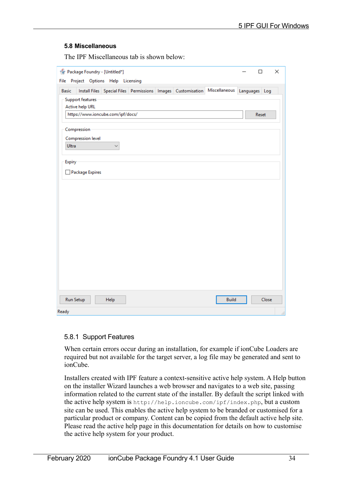#### <span id="page-33-1"></span>**5.8 Miscellaneous**

The IPF Miscellaneous tab is shown below:

|              |                                                   | Package Foundry - [Untitled*]<br>File Project Options Help Licensing |  |                                                                            |  | $\Box$        | × |
|--------------|---------------------------------------------------|----------------------------------------------------------------------|--|----------------------------------------------------------------------------|--|---------------|---|
| <b>Basic</b> |                                                   |                                                                      |  | Install Files Special Files Permissions Images Customisation Miscellaneous |  | Languages Log |   |
|              | <b>Support features</b><br><b>Active help URL</b> |                                                                      |  |                                                                            |  |               |   |
|              |                                                   | https://www.ioncube.com/ipf/docs/                                    |  |                                                                            |  | Reset         |   |
| Ultra        | Compression<br>Compression level                  |                                                                      |  |                                                                            |  |               |   |
| Expiry       | Package Expires                                   |                                                                      |  |                                                                            |  |               |   |
|              |                                                   |                                                                      |  |                                                                            |  |               |   |
|              |                                                   |                                                                      |  |                                                                            |  |               |   |
|              |                                                   |                                                                      |  |                                                                            |  |               |   |
|              |                                                   |                                                                      |  |                                                                            |  |               |   |
|              |                                                   |                                                                      |  |                                                                            |  |               |   |
|              |                                                   |                                                                      |  |                                                                            |  |               |   |
|              |                                                   |                                                                      |  |                                                                            |  |               |   |
|              |                                                   |                                                                      |  |                                                                            |  |               |   |
|              |                                                   |                                                                      |  |                                                                            |  |               |   |

#### <span id="page-33-0"></span>5.8.1 Support Features

When certain errors occur during an installation, for example if ionCube Loaders are required but not available for the target server, a log file may be generated and sent to ionCube.

Installers created with IPF feature a context-sensitive active help system. A Help button on the installer Wizard launches a web browser and navigates to a web site, passing information related to the current state of the installer. By default the script linked with the active help system is http://help.ioncube.com/ipf/index.php, but a custom site can be used. This enables the active help system to be branded or customised for a particular product or company. Content can be copied from the default active help site. Please read the active help page in this documentation for details on how to customise the active help system for your product.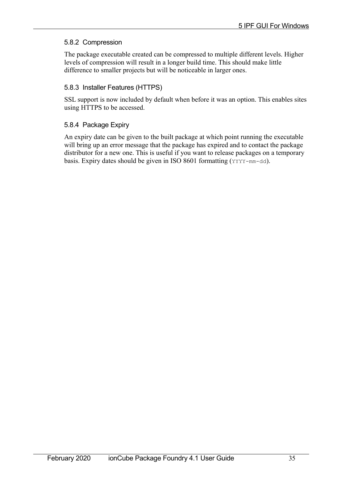## <span id="page-34-2"></span>5.8.2 Compression

The package executable created can be compressed to multiple different levels. Higher levels of compression will result in a longer build time. This should make little difference to smaller projects but will be noticeable in larger ones.

## <span id="page-34-1"></span>5.8.3 Installer Features (HTTPS)

SSL support is now included by default when before it was an option. This enables sites using HTTPS to be accessed.

## <span id="page-34-0"></span>5.8.4 Package Expiry

An expiry date can be given to the built package at which point running the executable will bring up an error message that the package has expired and to contact the package distributor for a new one. This is useful if you want to release packages on a temporary basis. Expiry dates should be given in ISO 8601 formatting (YYYY-mm-dd).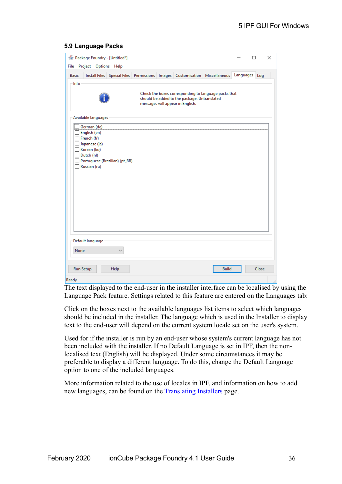#### <span id="page-35-0"></span>**5.9 Language Packs**

| Package Foundry - [Untitled*]<br>Project Options Help<br>File                                                                                                                                |  |                                                                                                                                          |              |           | п     | × |
|----------------------------------------------------------------------------------------------------------------------------------------------------------------------------------------------|--|------------------------------------------------------------------------------------------------------------------------------------------|--------------|-----------|-------|---|
| <b>Basic</b><br>Install Files Special Files Permissions Images Customisation Miscellaneous                                                                                                   |  |                                                                                                                                          |              | Languages | Log   |   |
| Info                                                                                                                                                                                         |  | Check the boxes corresponding to language packs that<br>should be added to the package. Untranslated<br>messages will appear in English. |              |           |       |   |
| Available languages<br>German (de)<br>English (en)<br>French (fr)<br>Japanese (ja)<br>Korean (ko)<br>Dutch (nl)<br>Portuguese (Brazilian) (pt_BR)<br>$\Box$ Russian (ru)<br>Default language |  |                                                                                                                                          |              |           |       |   |
| None                                                                                                                                                                                         |  |                                                                                                                                          |              |           |       |   |
| <b>Run Setup</b><br>Help<br>Ready                                                                                                                                                            |  |                                                                                                                                          | <b>Build</b> |           | Close |   |

The text displayed to the end-user in the installer interface can be localised by using the Language Pack feature. Settings related to this feature are entered on the Languages tab:

Click on the boxes next to the available languages list items to select which languages should be included in the installer. The language which is used in the Installer to display text to the end-user will depend on the current system locale set on the user's system.

Used for if the installer is run by an end-user whose system's current language has not been included with the installer. If no Default Language is set in IPF, then the nonlocalised text (English) will be displayed. Under some circumstances it may be preferable to display a different language. To do this, change the Default Language option to one of the included languages.

More information related to the use of locales in IPF, and information on how to add new languages, can be found on the **Translating Installers** page.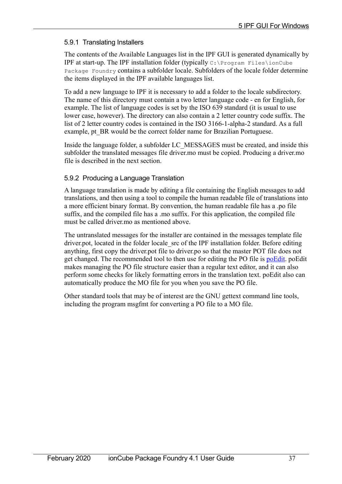## <span id="page-36-1"></span>5.9.1 Translating Installers

The contents of the Available Languages list in the IPF GUI is generated dynamically by IPF at start-up. The IPF installation folder (typically C:\Program Files\ionCube Package Foundry contains a subfolder locale. Subfolders of the locale folder determine the items displayed in the IPF available languages list.

To add a new language to IPF it is necessary to add a folder to the locale subdirectory. The name of this directory must contain a two letter language code - en for English, for example. The list of language codes is set by the ISO 639 standard (it is usual to use lower case, however). The directory can also contain a 2 letter country code suffix. The list of 2 letter country codes is contained in the ISO 3166-1-alpha-2 standard. As a full example, pt BR would be the correct folder name for Brazilian Portuguese.

Inside the language folder, a subfolder LC\_MESSAGES must be created, and inside this subfolder the translated messages file driver.mo must be copied. Producing a driver.mo file is described in the next section.

## <span id="page-36-0"></span>5.9.2 Producing a Language Translation

A language translation is made by editing a file containing the English messages to add translations, and then using a tool to compile the human readable file of translations into a more efficient binary format. By convention, the human readable file has a .po file suffix, and the compiled file has a .mo suffix. For this application, the compiled file must be called driver.mo as mentioned above.

The untranslated messages for the installer are contained in the messages template file driver.pot, located in the folder locale src of the IPF installation folder. Before editing anything, first copy the driver.pot file to driver.po so that the master POT file does not get changed. The recommended tool to then use for editing the PO file is [poEdit.](https://poedit.net/) poEdit makes managing the PO file structure easier than a regular text editor, and it can also perform some checks for likely formatting errors in the translation text. poEdit also can automatically produce the MO file for you when you save the PO file.

Other standard tools that may be of interest are the GNU gettext command line tools, including the program msgfmt for converting a PO file to a MO file.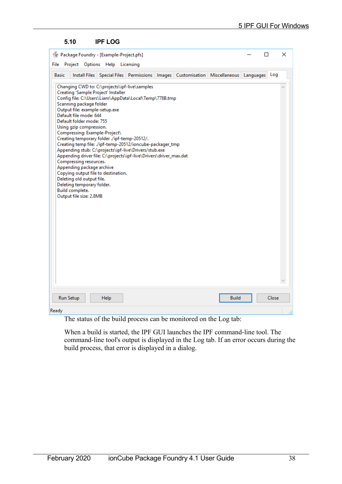#### **5.10 IPF LOG**

| Tar Package Foundry - [Example-Project.pfs]<br>File Project Options Help Licensing                                                                                                                                                                                                                                                                                                                                                                                                                                                                                                                                                                                                                                                                                               | □ |       | × |
|----------------------------------------------------------------------------------------------------------------------------------------------------------------------------------------------------------------------------------------------------------------------------------------------------------------------------------------------------------------------------------------------------------------------------------------------------------------------------------------------------------------------------------------------------------------------------------------------------------------------------------------------------------------------------------------------------------------------------------------------------------------------------------|---|-------|---|
| <b>Basic</b><br>Install Files Special Files Permissions Images Customisation Miscellaneous Languages                                                                                                                                                                                                                                                                                                                                                                                                                                                                                                                                                                                                                                                                             |   | Log   |   |
| Changing CWD to: C:\projects\ipf-live\samples<br>Creating 'Sample Project' Installer<br>Config file: C:\Users\Liam\AppData\Local\Temp\778B.tmp<br>Scanning package folder<br>Output file: example-setup.exe<br>Default file mode: 644<br>Default folder mode: 755<br>Using gzip compression.<br>Compressing: Example-Project\<br>Creating temporary folder ./ipf-temp-20512/.<br>Creating temp file: ./ipf-temp-20512/ioncube-packager_tmp<br>Appending stub: C:\projects\ipf-live\Drivers/stub.exe<br>Appending driver file: C:\projects\ipf-live\Drivers\driver_max.dat<br>Compressing resources.<br>Appending package archive<br>Copying output file to destination.<br>Deleting old output file.<br>Deleting temporary folder.<br>Build complete.<br>Output file size: 2.8MB |   |       |   |
| <b>Build</b><br><b>Run Setup</b><br>Help<br>Ready                                                                                                                                                                                                                                                                                                                                                                                                                                                                                                                                                                                                                                                                                                                                |   | Close |   |

The status of the build process can be monitored on the Log tab:

When a build is started, the IPF GUI launches the IPF command-line tool. The command-line tool's output is displayed in the Log tab. If an error occurs during the build process, that error is displayed in a dialog.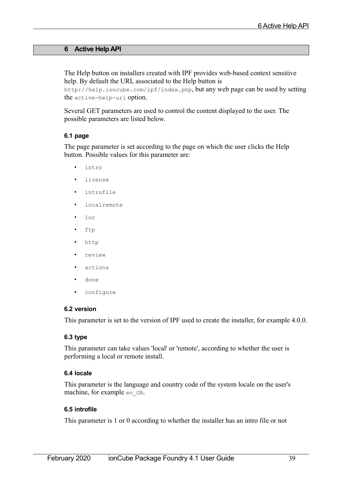## <span id="page-38-4"></span>**6 Active Help API**

The Help button on installers created with IPF provides web-based context sensitive help. By default the URL associated to the Help button is

http://help.ioncube.com/ipf/index.php, but any web page can be used by setting the active-help-url option.

Several GET parameters are used to control the content displayed to the user. The possible parameters are listed below.

## **6.1 page**

The page parameter is set according to the page on which the user clicks the Help button. Possible values for this parameter are:

- intro
- license
- introfile
- localremote
- loc
- ftp
- http
- review
- actions
- done
- configure

#### <span id="page-38-3"></span>**6.2 version**

This parameter is set to the version of IPF used to create the installer, for example 4.0.0.

## <span id="page-38-2"></span>**6.3 type**

This parameter can take values 'local' or 'remote', according to whether the user is performing a local or remote install.

#### <span id="page-38-1"></span>**6.4 locale**

This parameter is the language and country code of the system locale on the user's machine, for example en GB.

## <span id="page-38-0"></span>**6.5 introfile**

This parameter is 1 or 0 according to whether the installer has an intro file or not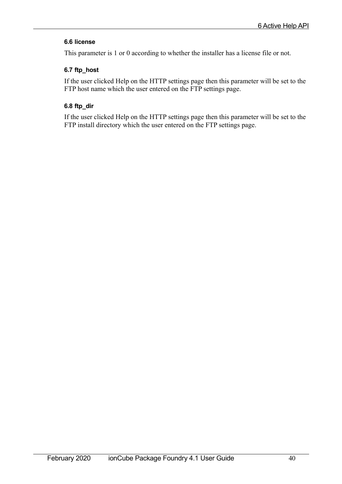## <span id="page-39-2"></span>**6.6 license**

This parameter is 1 or 0 according to whether the installer has a license file or not.

## <span id="page-39-1"></span>**6.7 ftp\_host**

If the user clicked Help on the HTTP settings page then this parameter will be set to the FTP host name which the user entered on the FTP settings page.

## <span id="page-39-0"></span>**6.8 ftp\_dir**

If the user clicked Help on the HTTP settings page then this parameter will be set to the FTP install directory which the user entered on the FTP settings page.